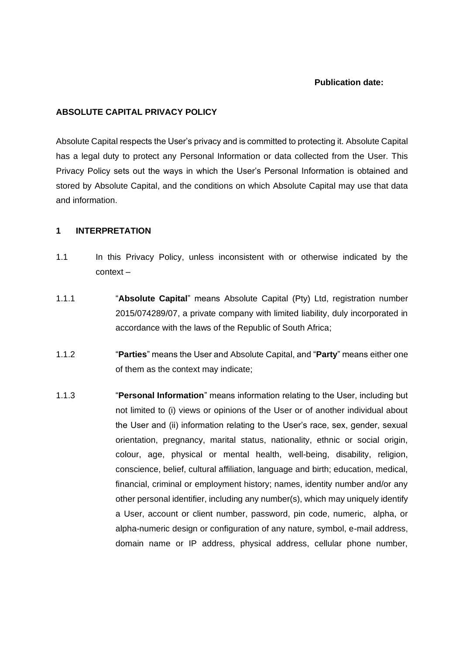### **Publication date:**

### **ABSOLUTE CAPITAL PRIVACY POLICY**

Absolute Capital respects the User's privacy and is committed to protecting it. Absolute Capital has a legal duty to protect any Personal Information or data collected from the User. This Privacy Policy sets out the ways in which the User's Personal Information is obtained and stored by Absolute Capital, and the conditions on which Absolute Capital may use that data and information.

### **1 INTERPRETATION**

- 1.1 In this Privacy Policy, unless inconsistent with or otherwise indicated by the context –
- 1.1.1 "**Absolute Capital**" means Absolute Capital (Pty) Ltd, registration number 2015/074289/07, a private company with limited liability, duly incorporated in accordance with the laws of the Republic of South Africa;
- 1.1.2 "**Parties**" means the User and Absolute Capital, and "**Party**" means either one of them as the context may indicate;
- 1.1.3 "**Personal Information**" means information relating to the User, including but not limited to (i) views or opinions of the User or of another individual about the User and (ii) information relating to the User's race, sex, gender, sexual orientation, pregnancy, marital status, nationality, ethnic or social origin, colour, age, physical or mental health, well-being, disability, religion, conscience, belief, cultural affiliation, language and birth; education, medical, financial, criminal or employment history; names, identity number and/or any other personal identifier, including any number(s), which may uniquely identify a User, account or client number, password, pin code, numeric, alpha, or alpha-numeric design or configuration of any nature, symbol, e-mail address, domain name or IP address, physical address, cellular phone number,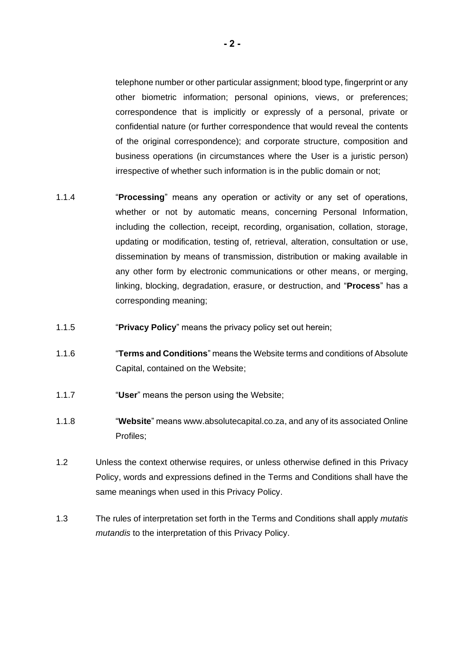telephone number or other particular assignment; blood type, fingerprint or any other biometric information; personal opinions, views, or preferences; correspondence that is implicitly or expressly of a personal, private or confidential nature (or further correspondence that would reveal the contents of the original correspondence); and corporate structure, composition and business operations (in circumstances where the User is a juristic person) irrespective of whether such information is in the public domain or not;

- 1.1.4 "**Processing**" means any operation or activity or any set of operations, whether or not by automatic means, concerning Personal Information, including the collection, receipt, recording, organisation, collation, storage, updating or modification, testing of, retrieval, alteration, consultation or use, dissemination by means of transmission, distribution or making available in any other form by electronic communications or other means, or merging, linking, blocking, degradation, erasure, or destruction, and "**Process**" has a corresponding meaning;
- 1.1.5 "**Privacy Policy**" means the privacy policy set out herein;
- 1.1.6 "**Terms and Conditions**" means the Website terms and conditions of Absolute Capital, contained on the Website;
- 1.1.7 "**User**" means the person using the Website;
- 1.1.8 "**Website**" means www.absolutecapital.co.za, and any of its associated Online Profiles;
- 1.2 Unless the context otherwise requires, or unless otherwise defined in this Privacy Policy, words and expressions defined in the Terms and Conditions shall have the same meanings when used in this Privacy Policy.
- 1.3 The rules of interpretation set forth in the Terms and Conditions shall apply *mutatis mutandis* to the interpretation of this Privacy Policy.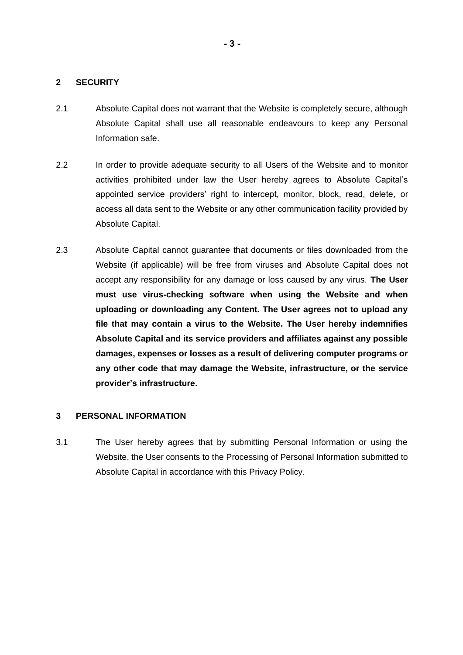# **2 SECURITY**

- 2.1 Absolute Capital does not warrant that the Website is completely secure, although Absolute Capital shall use all reasonable endeavours to keep any Personal Information safe.
- 2.2 In order to provide adequate security to all Users of the Website and to monitor activities prohibited under law the User hereby agrees to Absolute Capital's appointed service providers' right to intercept, monitor, block, read, delete, or access all data sent to the Website or any other communication facility provided by Absolute Capital.
- 2.3 Absolute Capital cannot guarantee that documents or files downloaded from the Website (if applicable) will be free from viruses and Absolute Capital does not accept any responsibility for any damage or loss caused by any virus. **The User must use virus-checking software when using the Website and when uploading or downloading any Content. The User agrees not to upload any file that may contain a virus to the Website. The User hereby indemnifies Absolute Capital and its service providers and affiliates against any possible damages, expenses or losses as a result of delivering computer programs or any other code that may damage the Website, infrastructure, or the service provider's infrastructure.**

# **3 PERSONAL INFORMATION**

3.1 The User hereby agrees that by submitting Personal Information or using the Website, the User consents to the Processing of Personal Information submitted to Absolute Capital in accordance with this Privacy Policy.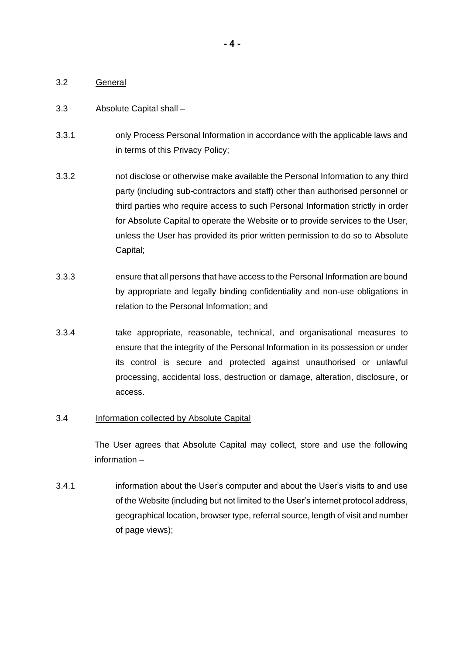# 3.2 General

### 3.3 Absolute Capital shall –

- 3.3.1 only Process Personal Information in accordance with the applicable laws and in terms of this Privacy Policy;
- 3.3.2 not disclose or otherwise make available the Personal Information to any third party (including sub-contractors and staff) other than authorised personnel or third parties who require access to such Personal Information strictly in order for Absolute Capital to operate the Website or to provide services to the User, unless the User has provided its prior written permission to do so to Absolute Capital;
- 3.3.3 ensure that all persons that have access to the Personal Information are bound by appropriate and legally binding confidentiality and non-use obligations in relation to the Personal Information; and
- 3.3.4 take appropriate, reasonable, technical, and organisational measures to ensure that the integrity of the Personal Information in its possession or under its control is secure and protected against unauthorised or unlawful processing, accidental loss, destruction or damage, alteration, disclosure, or access.

# 3.4 Information collected by Absolute Capital

The User agrees that Absolute Capital may collect, store and use the following information –

3.4.1 information about the User's computer and about the User's visits to and use of the Website (including but not limited to the User's internet protocol address, geographical location, browser type, referral source, length of visit and number of page views);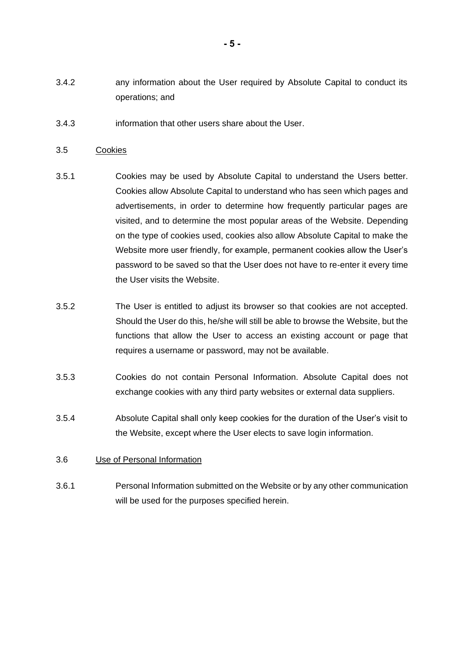- 3.4.2 any information about the User required by Absolute Capital to conduct its operations; and
- 3.4.3 information that other users share about the User.

### 3.5 Cookies

- 3.5.1 Cookies may be used by Absolute Capital to understand the Users better. Cookies allow Absolute Capital to understand who has seen which pages and advertisements, in order to determine how frequently particular pages are visited, and to determine the most popular areas of the Website. Depending on the type of cookies used, cookies also allow Absolute Capital to make the Website more user friendly, for example, permanent cookies allow the User's password to be saved so that the User does not have to re-enter it every time the User visits the Website.
- 3.5.2 The User is entitled to adjust its browser so that cookies are not accepted. Should the User do this, he/she will still be able to browse the Website, but the functions that allow the User to access an existing account or page that requires a username or password, may not be available.
- 3.5.3 Cookies do not contain Personal Information. Absolute Capital does not exchange cookies with any third party websites or external data suppliers.
- 3.5.4 Absolute Capital shall only keep cookies for the duration of the User's visit to the Website, except where the User elects to save login information.

# 3.6 Use of Personal Information

3.6.1 Personal Information submitted on the Website or by any other communication will be used for the purposes specified herein.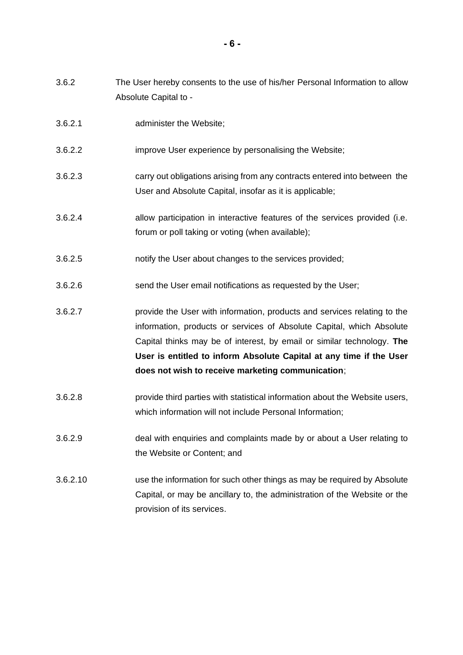- 3.6.2 The User hereby consents to the use of his/her Personal Information to allow Absolute Capital to -
- 3.6.2.1 administer the Website;
- 3.6.2.2 improve User experience by personalising the Website;
- 3.6.2.3 carry out obligations arising from any contracts entered into between the User and Absolute Capital, insofar as it is applicable;
- 3.6.2.4 allow participation in interactive features of the services provided (i.e. forum or poll taking or voting (when available);
- 3.6.2.5 notify the User about changes to the services provided;
- 3.6.2.6 send the User email notifications as requested by the User;
- 3.6.2.7 provide the User with information, products and services relating to the information, products or services of Absolute Capital, which Absolute Capital thinks may be of interest, by email or similar technology. **The User is entitled to inform Absolute Capital at any time if the User does not wish to receive marketing communication**;
- 3.6.2.8 provide third parties with statistical information about the Website users, which information will not include Personal Information;
- 3.6.2.9 deal with enquiries and complaints made by or about a User relating to the Website or Content; and
- 3.6.2.10 use the information for such other things as may be required by Absolute Capital, or may be ancillary to, the administration of the Website or the provision of its services.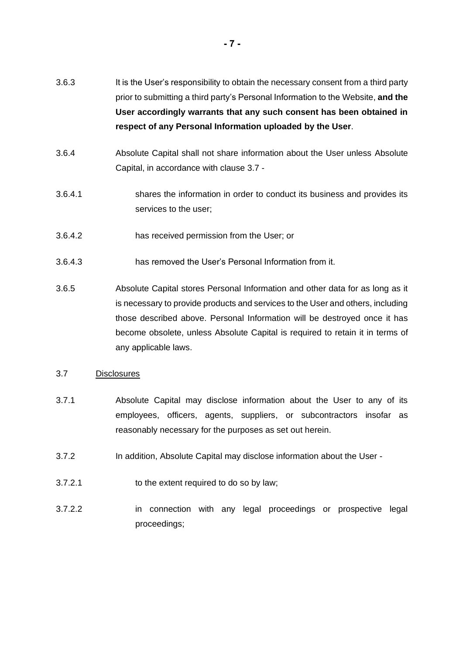- 3.6.3 It is the User's responsibility to obtain the necessary consent from a third party prior to submitting a third party's Personal Information to the Website, **and the User accordingly warrants that any such consent has been obtained in respect of any Personal Information uploaded by the User**.
- 3.6.4 Absolute Capital shall not share information about the User unless Absolute Capital, in accordance with clause [3.7](#page-6-0) -
- 3.6.4.1 shares the information in order to conduct its business and provides its services to the user;
- 3.6.4.2 has received permission from the User; or
- 3.6.4.3 has removed the User's Personal Information from it.
- 3.6.5 Absolute Capital stores Personal Information and other data for as long as it is necessary to provide products and services to the User and others, including those described above. Personal Information will be destroyed once it has become obsolete, unless Absolute Capital is required to retain it in terms of any applicable laws.

#### <span id="page-6-0"></span>3.7 Disclosures

- 3.7.1 Absolute Capital may disclose information about the User to any of its employees, officers, agents, suppliers, or subcontractors insofar as reasonably necessary for the purposes as set out herein.
- 3.7.2 In addition, Absolute Capital may disclose information about the User -
- 3.7.2.1 to the extent required to do so by law;
- 3.7.2.2 in connection with any legal proceedings or prospective legal proceedings;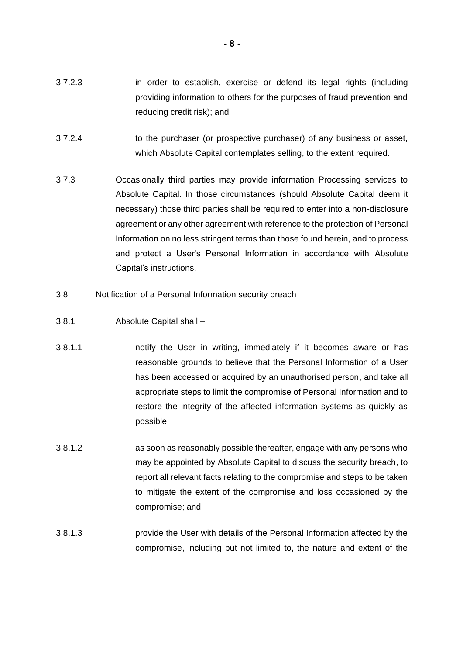- 3.7.2.3 in order to establish, exercise or defend its legal rights (including providing information to others for the purposes of fraud prevention and reducing credit risk); and
- 3.7.2.4 to the purchaser (or prospective purchaser) of any business or asset, which Absolute Capital contemplates selling, to the extent required.
- 3.7.3 Occasionally third parties may provide information Processing services to Absolute Capital. In those circumstances (should Absolute Capital deem it necessary) those third parties shall be required to enter into a non-disclosure agreement or any other agreement with reference to the protection of Personal Information on no less stringent terms than those found herein, and to process and protect a User's Personal Information in accordance with Absolute Capital's instructions.

#### 3.8 Notification of a Personal Information security breach

- <span id="page-7-0"></span>3.8.1 Absolute Capital shall –
- 3.8.1.1 notify the User in writing, immediately if it becomes aware or has reasonable grounds to believe that the Personal Information of a User has been accessed or acquired by an unauthorised person, and take all appropriate steps to limit the compromise of Personal Information and to restore the integrity of the affected information systems as quickly as possible;
- 3.8.1.2 as soon as reasonably possible thereafter, engage with any persons who may be appointed by Absolute Capital to discuss the security breach, to report all relevant facts relating to the compromise and steps to be taken to mitigate the extent of the compromise and loss occasioned by the compromise; and
- 3.8.1.3 provide the User with details of the Personal Information affected by the compromise, including but not limited to, the nature and extent of the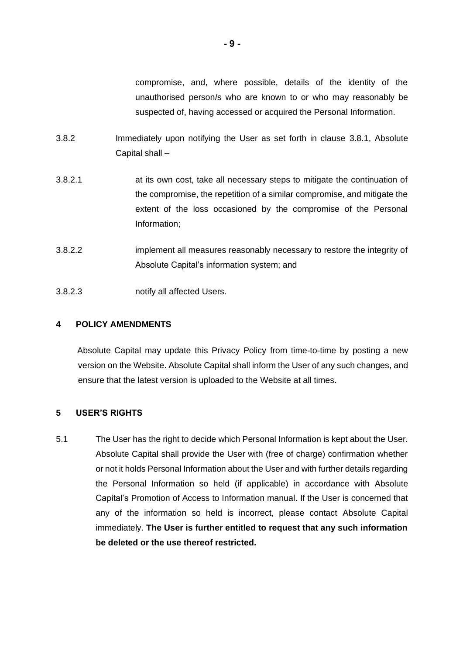compromise, and, where possible, details of the identity of the unauthorised person/s who are known to or who may reasonably be suspected of, having accessed or acquired the Personal Information.

- 3.8.2 Immediately upon notifying the User as set forth in clause [3.8.1,](#page-7-0) Absolute Capital shall –
- 3.8.2.1 at its own cost, take all necessary steps to mitigate the continuation of the compromise, the repetition of a similar compromise, and mitigate the extent of the loss occasioned by the compromise of the Personal Information;
- 3.8.2.2 implement all measures reasonably necessary to restore the integrity of Absolute Capital's information system; and
- 3.8.2.3 notify all affected Users.

# **4 POLICY AMENDMENTS**

 Absolute Capital may update this Privacy Policy from time-to-time by posting a new version on the Website. Absolute Capital shall inform the User of any such changes, and ensure that the latest version is uploaded to the Website at all times.

# **5 USER'S RIGHTS**

5.1 The User has the right to decide which Personal Information is kept about the User. Absolute Capital shall provide the User with (free of charge) confirmation whether or not it holds Personal Information about the User and with further details regarding the Personal Information so held (if applicable) in accordance with Absolute Capital's Promotion of Access to Information manual. If the User is concerned that any of the information so held is incorrect, please contact Absolute Capital immediately. **The User is further entitled to request that any such information be deleted or the use thereof restricted.**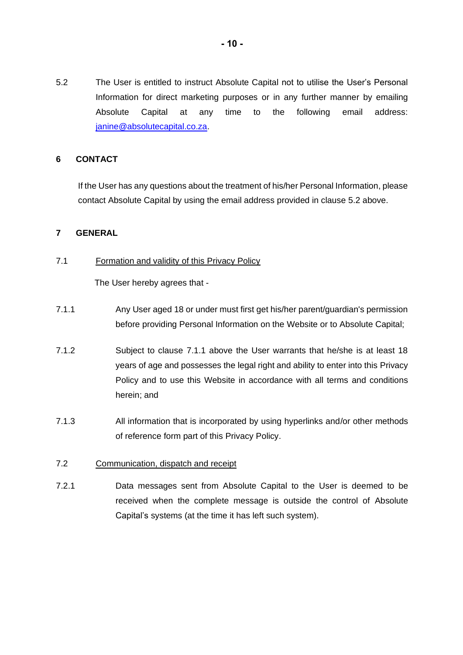<span id="page-9-0"></span>5.2 The User is entitled to instruct Absolute Capital not to utilise the User's Personal Information for direct marketing purposes or in any further manner by emailing Absolute Capital at any time to the following email address: janine@absolutecapital.co.za.

# **6 CONTACT**

If the User has any questions about the treatment of his/her Personal Information, please contact Absolute Capital by using the email address provided in clause [5.2](#page-9-0) above.

# **7 GENERAL**

7.1 Formation and validity of this Privacy Policy

The User hereby agrees that -

- <span id="page-9-1"></span>7.1.1 Any User aged 18 or under must first get his/her parent/guardian's permission before providing Personal Information on the Website or to Absolute Capital;
- 7.1.2 Subject to clause [7.1.1](#page-9-1) above the User warrants that he/she is at least 18 years of age and possesses the legal right and ability to enter into this Privacy Policy and to use this Website in accordance with all terms and conditions herein; and
- 7.1.3 All information that is incorporated by using hyperlinks and/or other methods of reference form part of this Privacy Policy.
- 7.2 Communication, dispatch and receipt
- 7.2.1 Data messages sent from Absolute Capital to the User is deemed to be received when the complete message is outside the control of Absolute Capital's systems (at the time it has left such system).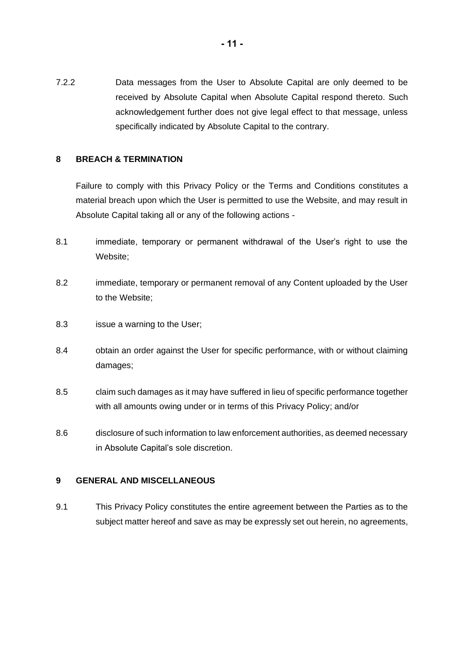7.2.2 Data messages from the User to Absolute Capital are only deemed to be received by Absolute Capital when Absolute Capital respond thereto. Such acknowledgement further does not give legal effect to that message, unless specifically indicated by Absolute Capital to the contrary.

# **8 BREACH & TERMINATION**

Failure to comply with this Privacy Policy or the Terms and Conditions constitutes a material breach upon which the User is permitted to use the Website, and may result in Absolute Capital taking all or any of the following actions -

- 8.1 immediate, temporary or permanent withdrawal of the User's right to use the Website;
- 8.2 immediate, temporary or permanent removal of any Content uploaded by the User to the Website;
- 8.3 issue a warning to the User;
- 8.4 obtain an order against the User for specific performance, with or without claiming damages;
- 8.5 claim such damages as it may have suffered in lieu of specific performance together with all amounts owing under or in terms of this Privacy Policy; and/or
- 8.6 disclosure of such information to law enforcement authorities, as deemed necessary in Absolute Capital's sole discretion.

# **9 GENERAL AND MISCELLANEOUS**

9.1 This Privacy Policy constitutes the entire agreement between the Parties as to the subject matter hereof and save as may be expressly set out herein, no agreements,